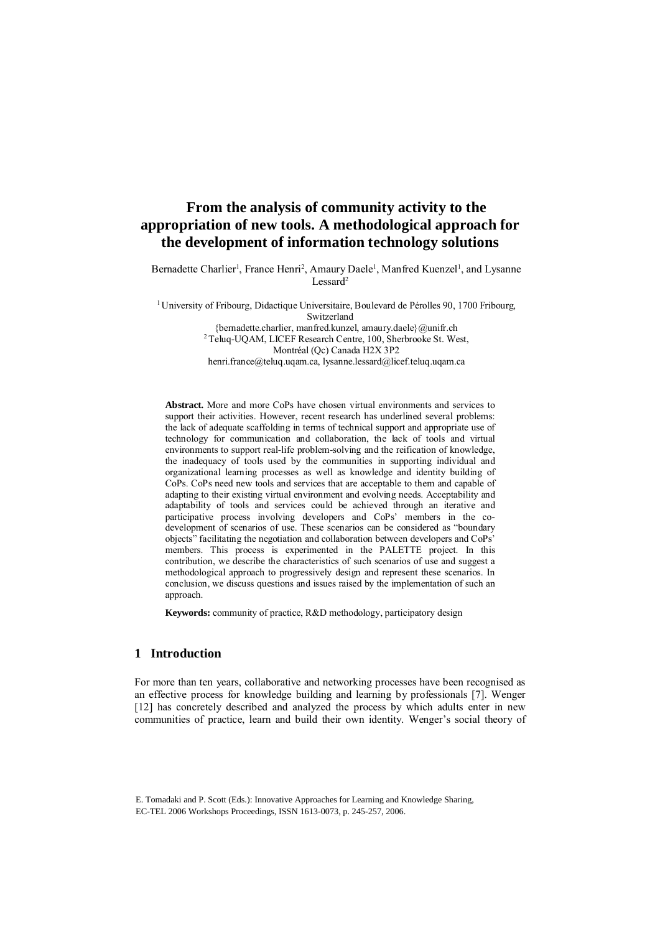# **From the analysis of community activity to the appropriation of new tools. A methodological approach for the development of information technology solutions**

Bernadette Charlier<sup>1</sup>, France Henri<sup>2</sup>, Amaury Daele<sup>1</sup>, Manfred Kuenzel<sup>1</sup>, and Lysanne Lessard<sup>2</sup>

<sup>1</sup> University of Fribourg, Didactique Universitaire, Boulevard de Pérolles 90, 1700 Fribourg, Switzerland {bernadette.charlier, manfred.kunzel, amaury.daele}@unifr.ch <sup>2</sup> Teluq-UQAM, LICEF Research Centre, 100, Sherbrooke St. West, Montréal (Qc) Canada H2X 3P2 [henri.france@teluq.uqam.ca,](mailto:henri.france@teluq.uqam.ca) [lysanne.lessard@licef.teluq.uqam.ca](mailto:lysanne.lessard@licef.teluq.uqam.ca)

**Abstract.** More and more CoPs have chosen virtual environments and services to support their activities. However, recent research has underlined several problems: the lack of adequate scaffolding in terms of technical support and appropriate use of technology for communication and collaboration, the lack of tools and virtual environments to support real-life problem-solving and the reification of knowledge, the inadequacy of tools used by the communities in supporting individual and organizational learning processes as well as knowledge and identity building of CoPs. CoPs need new tools and services that are acceptable to them and capable of adapting to their existing virtual environment and evolving needs. Acceptability and adaptability of tools and services could be achieved through an iterative and participative process involving developers and CoPs' members in the codevelopment of scenarios of use. These scenarios can be considered as "boundary objects" facilitating the negotiation and collaboration between developers and CoPs' members. This process is experimented in the PALETTE project. In this contribution, we describe the characteristics of such scenarios of use and suggest a methodological approach to progressively design and represent these scenarios. In conclusion, we discuss questions and issues raised by the implementation of such an approach.

**Keywords:** community of practice, R&D methodology, participatory design

# **1 Introduction**

For more than ten years, collaborative and networking processes have been recognised as an effective process for knowledge building and learning by professionals [7]. Wenger [12] has concretely described and analyzed the process by which adults enter in new communities of practice, learn and build their own identity. Wenger's social theory of

E. Tomadaki and P. Scott (Eds.): Innovative Approaches for Learning and Knowledge Sharing, EC-TEL 2006 Workshops Proceedings, ISSN 1613-0073, p. 245-257, 2006.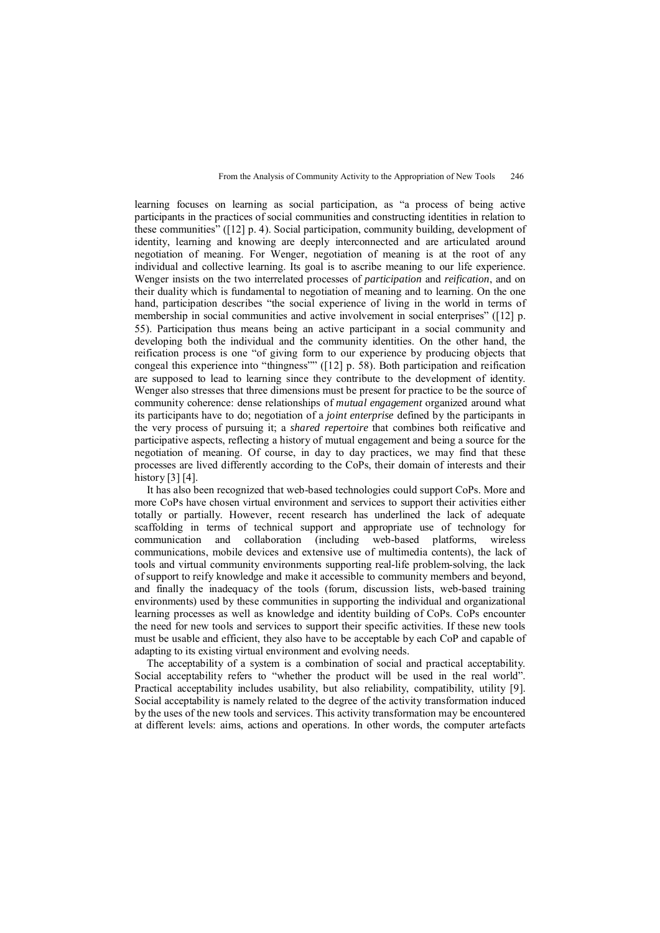learning focuses on learning as social participation, as "a process of being active participants in the practices of social communities and constructing identities in relation to these communities" ([12] p. 4). Social participation, community building, development of identity, learning and knowing are deeply interconnected and are articulated around negotiation of meaning. For Wenger, negotiation of meaning is at the root of any individual and collective learning. Its goal is to ascribe meaning to our life experience. Wenger insists on the two interrelated processes of *participation* and *reification*, and on their duality which is fundamental to negotiation of meaning and to learning. On the one hand, participation describes "the social experience of living in the world in terms of membership in social communities and active involvement in social enterprises" ([12] p. 55). Participation thus means being an active participant in a social community and developing both the individual and the community identities. On the other hand, the reification process is one "of giving form to our experience by producing objects that congeal this experience into "thingness"" ([12] p. 58). Both participation and reification are supposed to lead to learning since they contribute to the development of identity. Wenger also stresses that three dimensions must be present for practice to be the source of community coherence: dense relationships of *mutual engagement* organized around what its participants have to do; negotiation of a *joint enterprise* defined by the participants in the very process of pursuing it; a *shared repertoire* that combines both reificative and participative aspects, reflecting a history of mutual engagement and being a source for the negotiation of meaning. Of course, in day to day practices, we may find that these processes are lived differently according to the CoPs, their domain of interests and their history [3] [4].

It has also been recognized that web-based technologies could support CoPs. More and more CoPs have chosen virtual environment and services to support their activities either totally or partially. However, recent research has underlined the lack of adequate scaffolding in terms of technical support and appropriate use of technology for communication and collaboration (including web-based platforms, wireless communications, mobile devices and extensive use of multimedia contents), the lack of tools and virtual community environments supporting real-life problem-solving, the lack of support to reify knowledge and make it accessible to community members and beyond, and finally the inadequacy of the tools (forum, discussion lists, web-based training environments) used by these communities in supporting the individual and organizational learning processes as well as knowledge and identity building of CoPs. CoPs encounter the need for new tools and services to support their specific activities. If these new tools must be usable and efficient, they also have to be acceptable by each CoP and capable of adapting to its existing virtual environment and evolving needs.

The acceptability of a system is a combination of social and practical acceptability. Social acceptability refers to "whether the product will be used in the real world". Practical acceptability includes usability, but also reliability, compatibility, utility [9]. Social acceptability is namely related to the degree of the activity transformation induced by the uses of the new tools and services. This activity transformation may be encountered at different levels: aims, actions and operations. In other words, the computer artefacts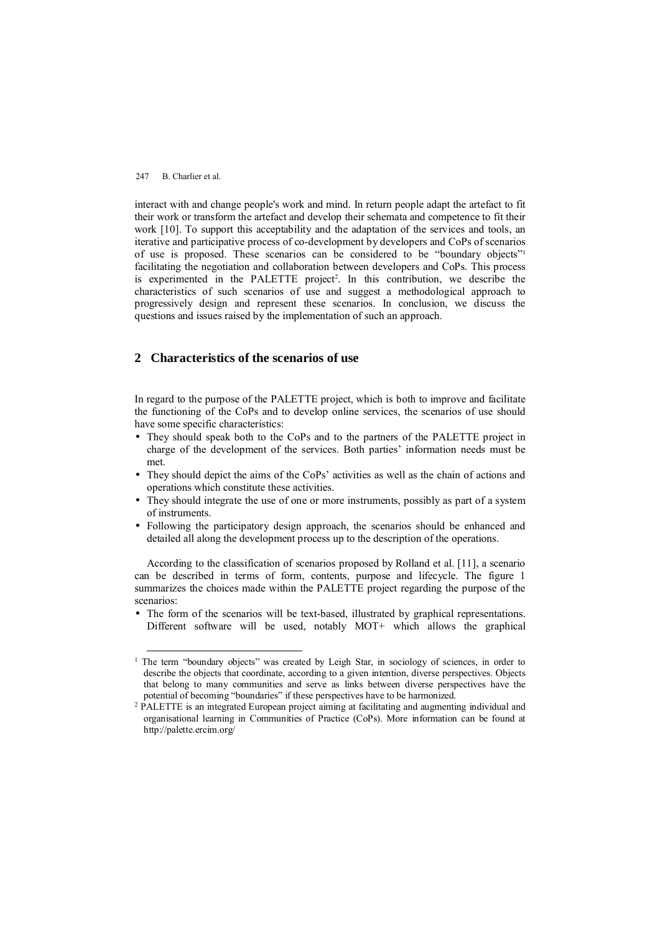interact with and change people's work and mind. In return people adapt the artefact to fit their work or transform the artefact and develop their schemata and competence to fit their work [10]. To support this acceptability and the adaptation of the services and tools, an iterative and participative process of co-development by developers and CoPs of scenarios of use is proposed. These scenarios can be considered to be "boundary objects"<sup>1</sup> facilitating the negotiation and collaboration between developers and CoPs. This process is experimented in the PALETTE project<sup>2</sup>. In this contribution, we describe the characteristics of such scenarios of use and suggest a methodological approach to progressively design and represent these scenarios. In conclusion, we discuss the questions and issues raised by the implementation of such an approach.

# **2 Characteristics of the scenarios of use**

In regard to the purpose of the PALETTE project, which is both to improve and facilitate the functioning of the CoPs and to develop online services, the scenarios of use should have some specific characteristics:

- They should speak both to the CoPs and to the partners of the PALETTE project in charge of the development of the services. Both parties' information needs must be met.
- They should depict the aims of the CoPs' activities as well as the chain of actions and operations which constitute these activities.
- They should integrate the use of one or more instruments, possibly as part of a system of instruments.
- Following the participatory design approach, the scenarios should be enhanced and detailed all along the development process up to the description of the operations.

According to the classification of scenarios proposed by Rolland et al. [11], a scenario can be described in terms of form, contents, purpose and lifecycle. The figure 1 summarizes the choices made within the PALETTE project regarding the purpose of the scenarios:

• The form of the scenarios will be text-based, illustrated by graphical representations. Different software will be used, notably MOT+ which allows the graphical

<sup>&</sup>lt;sup>1</sup> The term "boundary objects" was created by Leigh Star, in sociology of sciences, in order to describe the objects that coordinate, according to a given intention, diverse perspectives. Objects that belong to many communities and serve as links between diverse perspectives have the potential of becoming "boundaries" if these perspectives have to be harmonized.

<sup>&</sup>lt;sup>2</sup> PALETTE is an integrated European project aiming at facilitating and augmenting individual and organisational learning in Communities of Practice (CoPs). More information can be found at <http://palette.ercim.org/>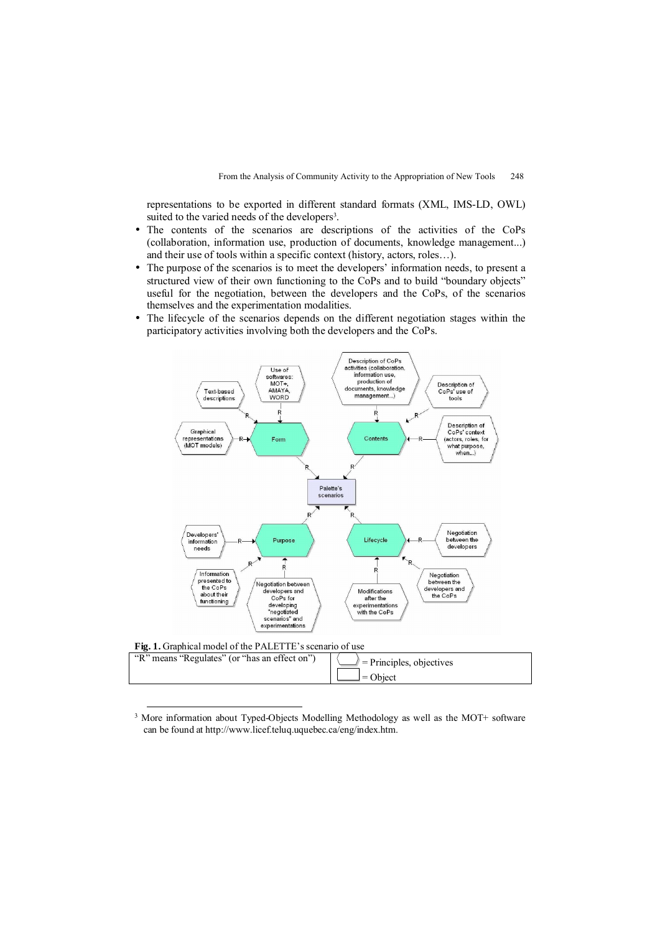representations to be exported in different standard formats (XML, IMS-LD, OWL) suited to the varied needs of the developers<sup>3</sup>.

- The contents of the scenarios are descriptions of the activities of the CoPs (collaboration, information use, production of documents, knowledge management...) and their use of tools within a specific context (history, actors, roles…).
- The purpose of the scenarios is to meet the developers' information needs, to present a structured view of their own functioning to the CoPs and to build "boundary objects" useful for the negotiation, between the developers and the CoPs, of the scenarios themselves and the experimentation modalities.
- The lifecycle of the scenarios depends on the different negotiation stages within the participatory activities involving both the developers and the CoPs.



<sup>&</sup>lt;sup>3</sup> More information about Typed-Objects Modelling Methodology as well as the MOT+ software can be found at<http://www.licef.teluq.uquebec.ca/eng/index.htm.>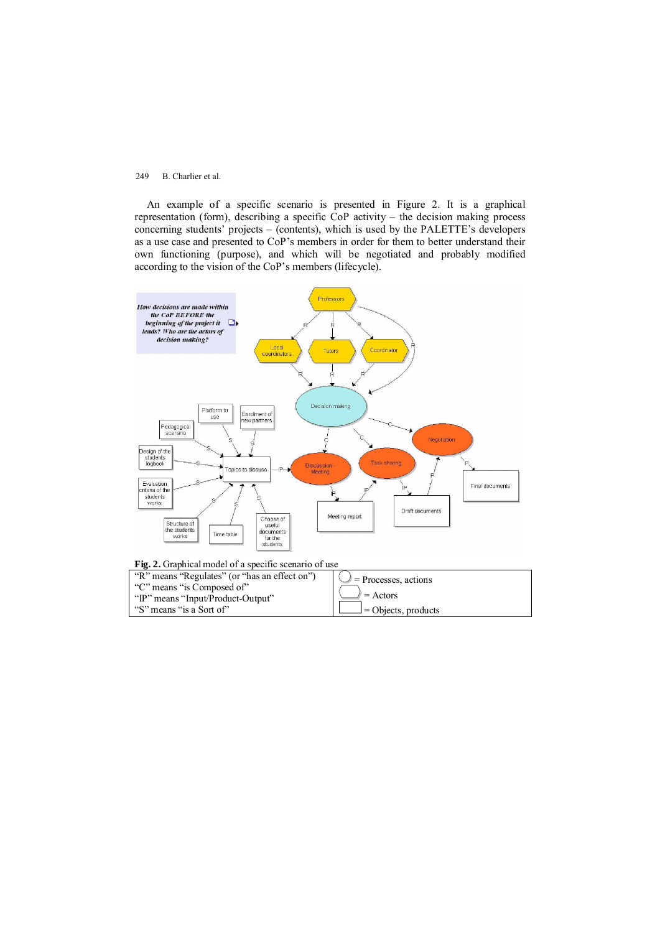An example of a specific scenario is presented in Figure 2. It is a graphical representation (form), describing a specific CoP activity – the decision making process concerning students' projects – (contents), which is used by the PALETTE's developers as a use case and presented to CoP's members in order for them to better understand their own functioning (purpose), and which will be negotiated and probably modified according to the vision of the CoP's members (lifecycle).



| "R" means "Regulates" (or "has an effect on") | $\bigcup$ = Processes, actions |
|-----------------------------------------------|--------------------------------|
| "C" means "is Composed of"                    |                                |
| "IP" means "Input/Product-Output"             | $\ell =$ Actors                |
| "S" means "is a Sort of"                      | $\perp$ = Objects, products    |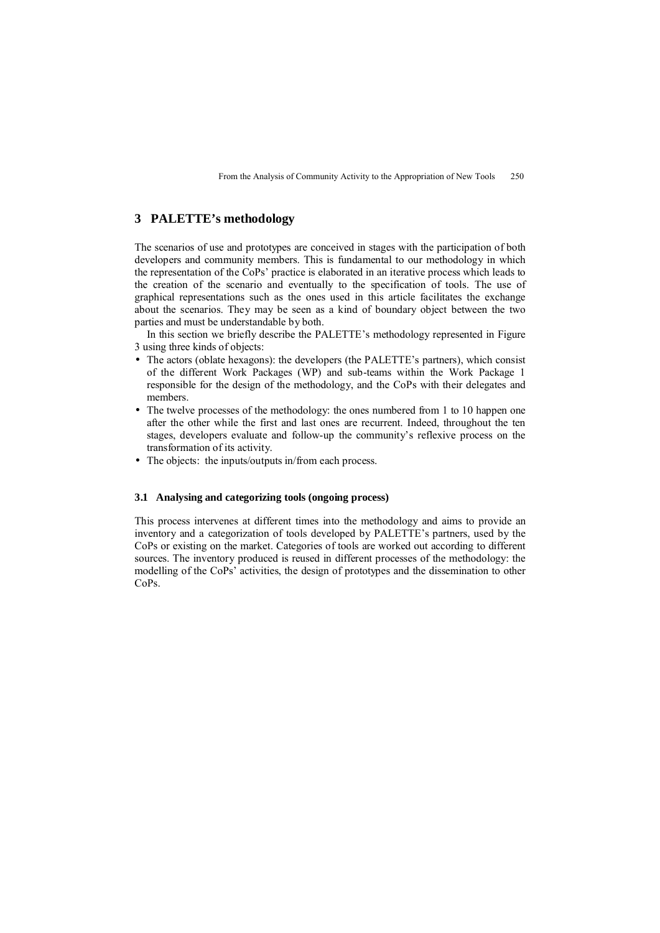# **3 PALETTE's methodology**

The scenarios of use and prototypes are conceived in stages with the participation of both developers and community members. This is fundamental to our methodology in which the representation of the CoPs' practice is elaborated in an iterative process which leads to the creation of the scenario and eventually to the specification of tools. The use of graphical representations such as the ones used in this article facilitates the exchange about the scenarios. They may be seen as a kind of boundary object between the two parties and must be understandable by both.

In this section we briefly describe the PALETTE's methodology represented in Figure 3 using three kinds of objects:

- The actors (oblate hexagons): the developers (the PALETTE's partners), which consist of the different Work Packages (WP) and sub-teams within the Work Package 1 responsible for the design of the methodology, and the CoPs with their delegates and members.
- The twelve processes of the methodology: the ones numbered from 1 to 10 happen one after the other while the first and last ones are recurrent. Indeed, throughout the ten stages, developers evaluate and follow-up the community's reflexive process on the transformation of its activity.
- The objects: the inputs/outputs in/from each process.

## **3.1 Analysing and categorizing tools (ongoing process)**

This process intervenes at different times into the methodology and aims to provide an inventory and a categorization of tools developed by PALETTE's partners, used by the CoPs or existing on the market. Categories of tools are worked out according to different sources. The inventory produced is reused in different processes of the methodology: the modelling of the CoPs' activities, the design of prototypes and the dissemination to other CoPs.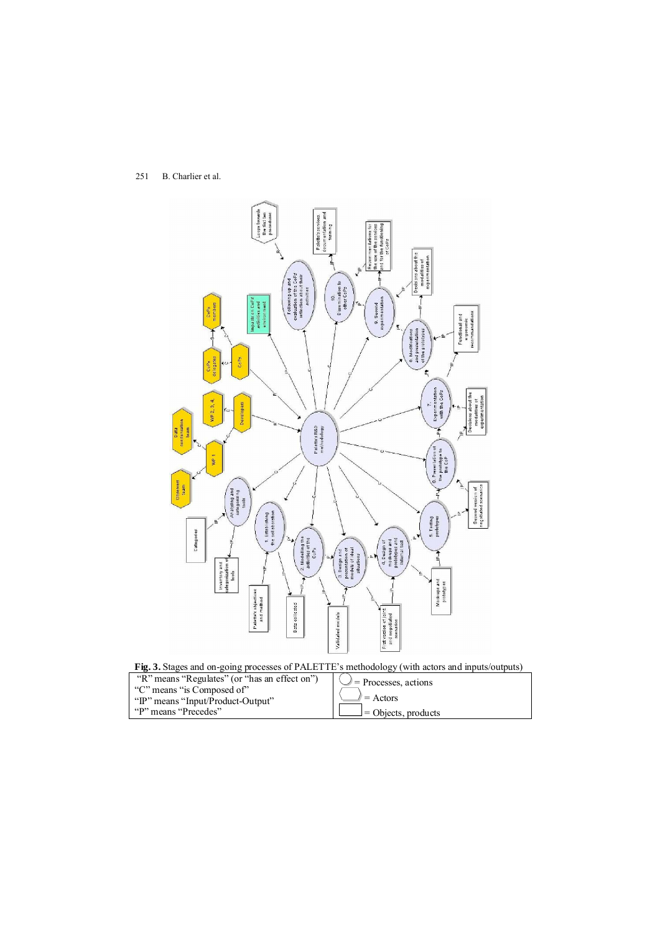



| "R" means "Regulates" (or "has an effect on")<br>"C" means "is Composed of" | $\bigcup$ = Processes, actions |
|-----------------------------------------------------------------------------|--------------------------------|
| "IP" means "Input/Product-Output"                                           | $\angle$ = Actors              |
| "P" means "Precedes"                                                        | $\perp$ = Objects, products    |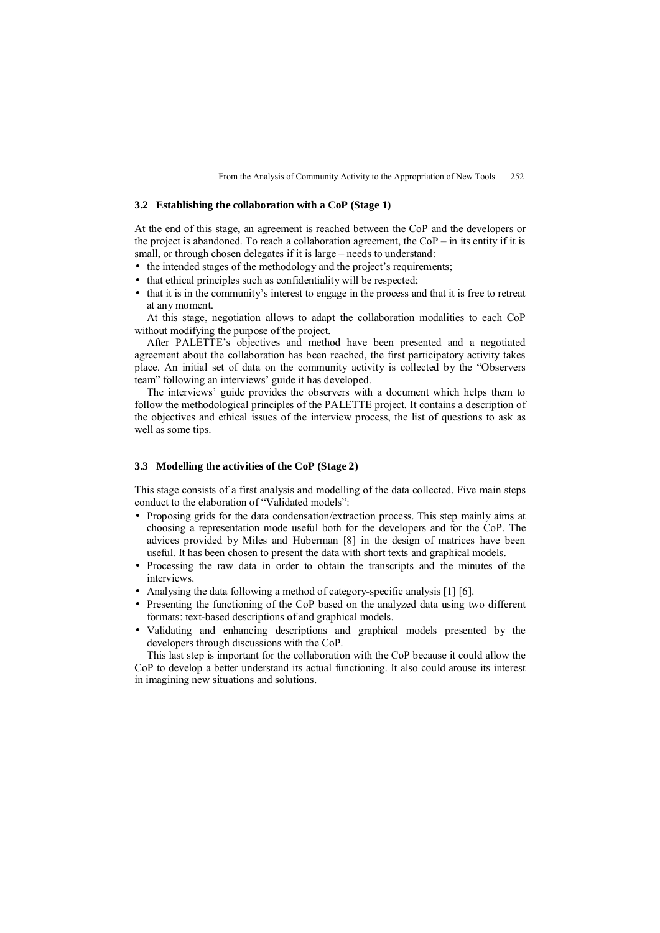#### **3.2 Establishing the collaboration with a CoP (Stage 1)**

At the end of this stage, an agreement is reached between the CoP and the developers or the project is abandoned. To reach a collaboration agreement, the  $CoP - in$  its entity if it is small, or through chosen delegates if it is large – needs to understand:

- the intended stages of the methodology and the project's requirements;
- that ethical principles such as confidentiality will be respected;
- that it is in the community's interest to engage in the process and that it is free to retreat at any moment.

At this stage, negotiation allows to adapt the collaboration modalities to each CoP without modifying the purpose of the project.

After PALETTE's objectives and method have been presented and a negotiated agreement about the collaboration has been reached, the first participatory activity takes place. An initial set of data on the community activity is collected by the "Observers team" following an interviews' guide it has developed.

The interviews' guide provides the observers with a document which helps them to follow the methodological principles of the PALETTE project. It contains a description of the objectives and ethical issues of the interview process, the list of questions to ask as well as some tips.

## **3.3 Modelling the activities of the CoP (Stage 2)**

This stage consists of a first analysis and modelling of the data collected. Five main steps conduct to the elaboration of "Validated models":

- Proposing grids for the data condensation/extraction process. This step mainly aims at choosing a representation mode useful both for the developers and for the CoP. The advices provided by Miles and Huberman [8] in the design of matrices have been useful. It has been chosen to present the data with short texts and graphical models.
- Processing the raw data in order to obtain the transcripts and the minutes of the interviews.
- Analysing the data following a method of category-specific analysis [1] [6].
- Presenting the functioning of the CoP based on the analyzed data using two different formats: text-based descriptions of and graphical models.
- Validating and enhancing descriptions and graphical models presented by the developers through discussions with the CoP.

This last step is important for the collaboration with the CoP because it could allow the CoP to develop a better understand its actual functioning. It also could arouse its interest in imagining new situations and solutions.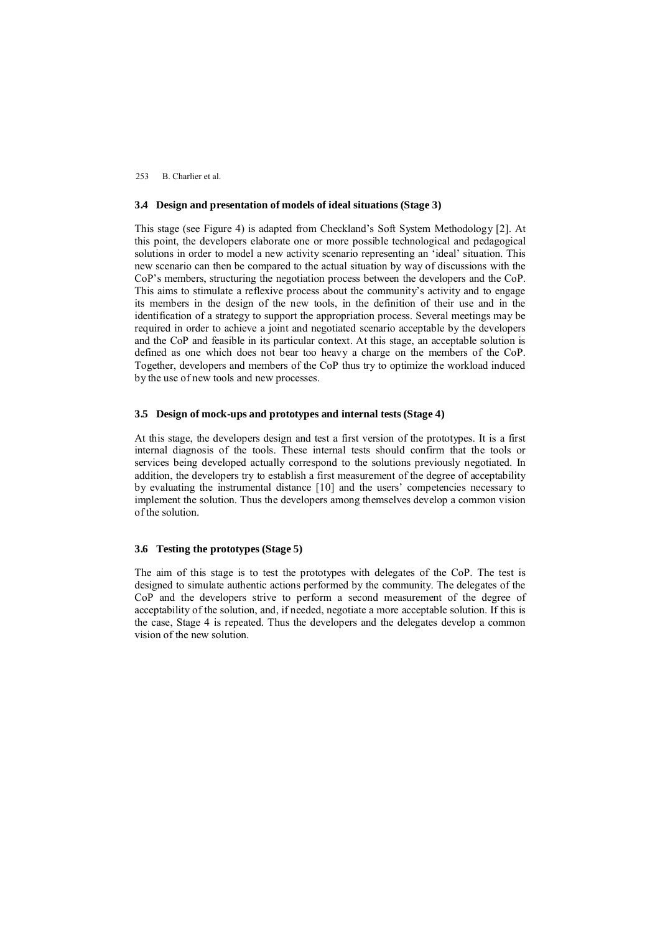#### **3.4 Design and presentation of models of ideal situations (Stage 3)**

This stage (see Figure 4) is adapted from Checkland's Soft System Methodology [2]. At this point, the developers elaborate one or more possible technological and pedagogical solutions in order to model a new activity scenario representing an 'ideal' situation. This new scenario can then be compared to the actual situation by way of discussions with the CoP's members, structuring the negotiation process between the developers and the CoP. This aims to stimulate a reflexive process about the community's activity and to engage its members in the design of the new tools, in the definition of their use and in the identification of a strategy to support the appropriation process. Several meetings may be required in order to achieve a joint and negotiated scenario acceptable by the developers and the CoP and feasible in its particular context. At this stage, an acceptable solution is defined as one which does not bear too heavy a charge on the members of the CoP. Together, developers and members of the CoP thus try to optimize the workload induced by the use of new tools and new processes.

#### **3.5 Design of mock-ups and prototypes and internal tests (Stage 4)**

At this stage, the developers design and test a first version of the prototypes. It is a first internal diagnosis of the tools. These internal tests should confirm that the tools or services being developed actually correspond to the solutions previously negotiated. In addition, the developers try to establish a first measurement of the degree of acceptability by evaluating the instrumental distance [10] and the users' competencies necessary to implement the solution. Thus the developers among themselves develop a common vision of the solution.

## **3.6 Testing the prototypes (Stage 5)**

The aim of this stage is to test the prototypes with delegates of the CoP. The test is designed to simulate authentic actions performed by the community. The delegates of the CoP and the developers strive to perform a second measurement of the degree of acceptability of the solution, and, if needed, negotiate a more acceptable solution. If this is the case, Stage 4 is repeated. Thus the developers and the delegates develop a common vision of the new solution.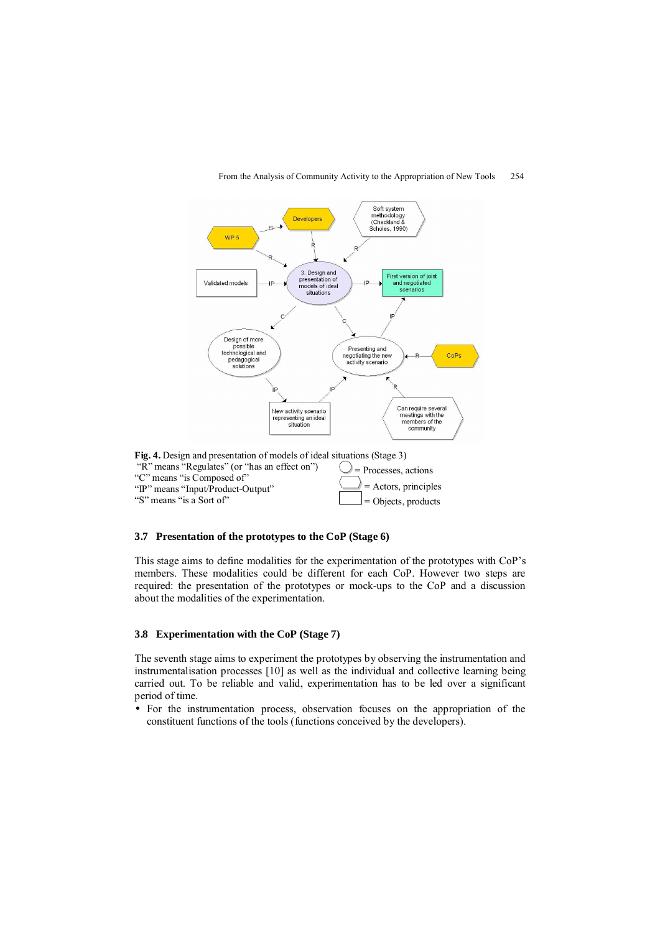

#### From the Analysis of Community Activity to the Appropriation of New Tools 254

**Fig. 4.** Design and presentation of models of ideal situations (Stage 3) "R" means "Regulates" (or "has an effect on") "C" means "is Composed of" "IP" means "Input/Product-Output" "S" means "is a Sort of"  $\bigcirc$  = Processes, actions = Actors, principles Objects, products

## **3.7 Presentation of the prototypes to the CoP (Stage 6)**

This stage aims to define modalities for the experimentation of the prototypes with CoP's members. These modalities could be different for each CoP. However two steps are required: the presentation of the prototypes or mock-ups to the CoP and a discussion about the modalities of the experimentation.

#### **3.8 Experimentation with the CoP (Stage 7)**

The seventh stage aims to experiment the prototypes by observing the instrumentation and instrumentalisation processes [10] as well as the individual and collective learning being carried out. To be reliable and valid, experimentation has to be led over a significant period of time.

• For the instrumentation process, observation focuses on the appropriation of the constituent functions of the tools (functions conceived by the developers).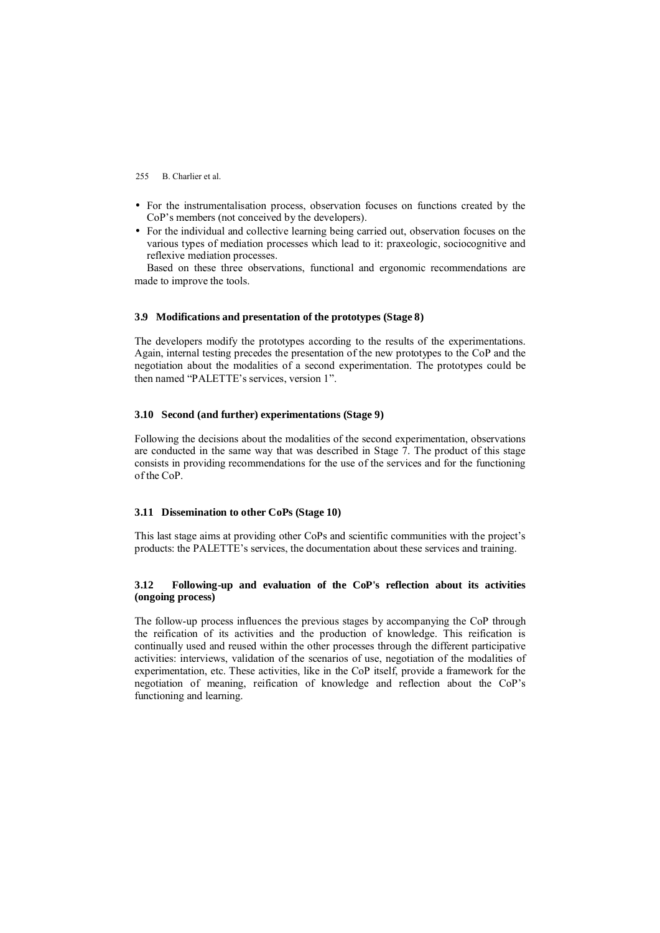- For the instrumentalisation process, observation focuses on functions created by the CoP's members (not conceived by the developers).
- For the individual and collective learning being carried out, observation focuses on the various types of mediation processes which lead to it: praxeologic, sociocognitive and reflexive mediation processes.

Based on these three observations, functional and ergonomic recommendations are made to improve the tools.

#### **3.9 Modifications and presentation of the prototypes (Stage 8)**

The developers modify the prototypes according to the results of the experimentations. Again, internal testing precedes the presentation of the new prototypes to the CoP and the negotiation about the modalities of a second experimentation. The prototypes could be then named "PALETTE's services, version 1".

#### **3.10 Second (and further) experimentations (Stage 9)**

Following the decisions about the modalities of the second experimentation, observations are conducted in the same way that was described in Stage 7. The product of this stage consists in providing recommendations for the use of the services and for the functioning of the CoP.

## **3.11 Dissemination to other CoPs (Stage 10)**

This last stage aims at providing other CoPs and scientific communities with the project's products: the PALETTE's services, the documentation about these services and training.

## **3.12 Following-up and evaluation of the CoP's reflection about its activities (ongoing process)**

The follow-up process influences the previous stages by accompanying the CoP through the reification of its activities and the production of knowledge. This reification is continually used and reused within the other processes through the different participative activities: interviews, validation of the scenarios of use, negotiation of the modalities of experimentation, etc. These activities, like in the CoP itself, provide a framework for the negotiation of meaning, reification of knowledge and reflection about the CoP's functioning and learning.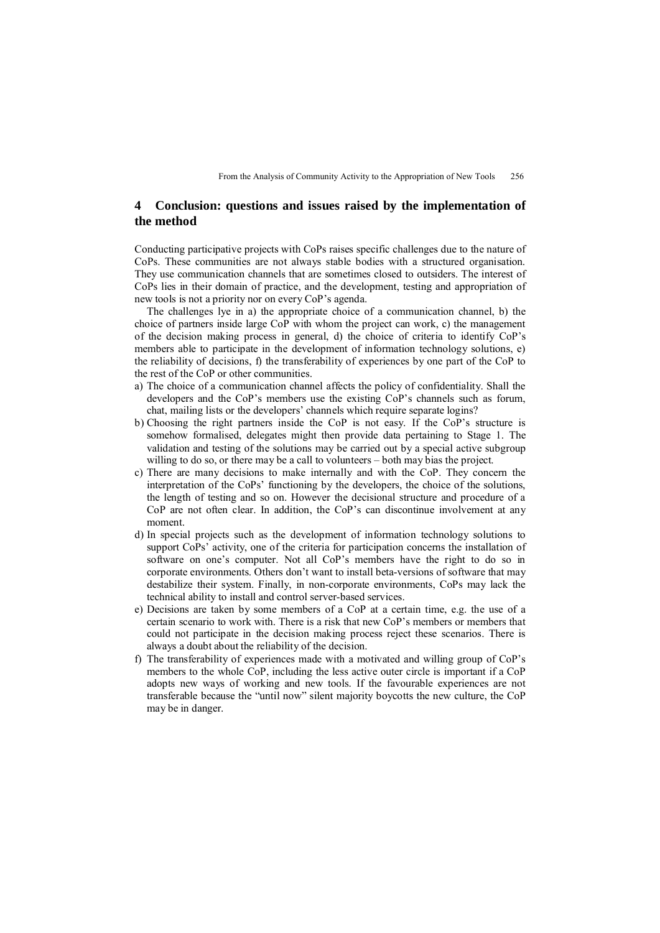# **4 Conclusion: questions and issues raised by the implementation of the method**

Conducting participative projects with CoPs raises specific challenges due to the nature of CoPs. These communities are not always stable bodies with a structured organisation. They use communication channels that are sometimes closed to outsiders. The interest of CoPs lies in their domain of practice, and the development, testing and appropriation of new tools is not a priority nor on every CoP's agenda.

The challenges lye in a) the appropriate choice of a communication channel, b) the choice of partners inside large CoP with whom the project can work, c) the management of the decision making process in general, d) the choice of criteria to identify CoP's members able to participate in the development of information technology solutions, e) the reliability of decisions, f) the transferability of experiences by one part of the CoP to the rest of the CoP or other communities.

- a) The choice of a communication channel affects the policy of confidentiality. Shall the developers and the CoP's members use the existing CoP's channels such as forum, chat, mailing lists or the developers' channels which require separate logins?
- b) Choosing the right partners inside the CoP is not easy. If the CoP's structure is somehow formalised, delegates might then provide data pertaining to Stage 1. The validation and testing of the solutions may be carried out by a special active subgroup willing to do so, or there may be a call to volunteers – both may bias the project.
- c) There are many decisions to make internally and with the CoP. They concern the interpretation of the CoPs' functioning by the developers, the choice of the solutions, the length of testing and so on. However the decisional structure and procedure of a CoP are not often clear. In addition, the CoP's can discontinue involvement at any moment.
- d) In special projects such as the development of information technology solutions to support CoPs' activity, one of the criteria for participation concerns the installation of software on one's computer. Not all CoP's members have the right to do so in corporate environments. Others don't want to install beta-versions of software that may destabilize their system. Finally, in non-corporate environments, CoPs may lack the technical ability to install and control server-based services.
- e) Decisions are taken by some members of a CoP at a certain time, e.g. the use of a certain scenario to work with. There is a risk that new CoP's members or members that could not participate in the decision making process reject these scenarios. There is always a doubt about the reliability of the decision.
- f) The transferability of experiences made with a motivated and willing group of CoP's members to the whole CoP, including the less active outer circle is important if a CoP adopts new ways of working and new tools. If the favourable experiences are not transferable because the "until now" silent majority boycotts the new culture, the CoP may be in danger.